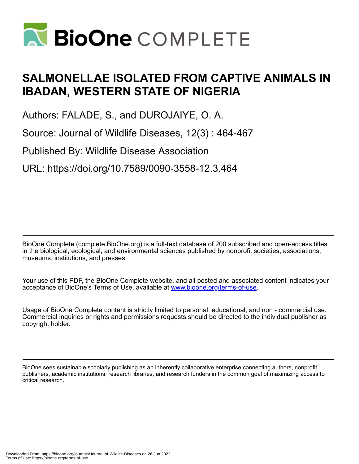

# **SALMONELLAE ISOLATED FROM CAPTIVE ANIMALS IN IBADAN, WESTERN STATE OF NIGERIA**

Authors: FALADE, S., and DUROJAIYE, O. A.

Source: Journal of Wildlife Diseases, 12(3) : 464-467

Published By: Wildlife Disease Association

URL: https://doi.org/10.7589/0090-3558-12.3.464

BioOne Complete (complete.BioOne.org) is a full-text database of 200 subscribed and open-access titles in the biological, ecological, and environmental sciences published by nonprofit societies, associations, museums, institutions, and presses.

Your use of this PDF, the BioOne Complete website, and all posted and associated content indicates your acceptance of BioOne's Terms of Use, available at www.bioone.org/terms-of-use.

Usage of BioOne Complete content is strictly limited to personal, educational, and non - commercial use. Commercial inquiries or rights and permissions requests should be directed to the individual publisher as copyright holder.

BioOne sees sustainable scholarly publishing as an inherently collaborative enterprise connecting authors, nonprofit publishers, academic institutions, research libraries, and research funders in the common goal of maximizing access to critical research.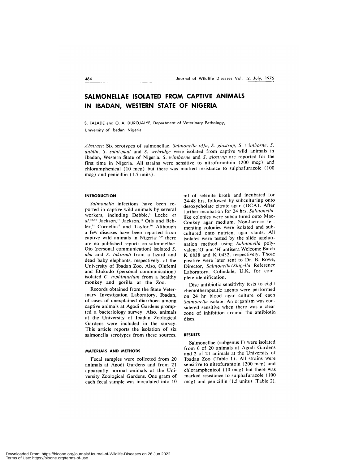# **SALMONELLAE ISOLATED FROM CAPTIVE ANIMALS IN IBADAN, WESTERN STATE OF NIGERIA**

S. FALADE and **0. A. DUROJAIYE,** Department of Veterinary Pathology, University of Ibadan, Nigeria

*Abstract:* Six serotypes of salmonellae, *Salmonella offa, S. glostrup, S. wimborne, S. dublin, S. saint-paul* and *S. webnidge* were isolated from captive wild animals in Ibadan, Western State of Nigeria. *S. wimborne* and *S. glostrup* are reported for the first time in Nigeria. All strains were sensitive to nitrofurantoin (200 mcg) and chloramphenical (10 mcg) but there was marked resistance to sulphafurazole (100 mcg) and penicillin (1.5 units).

#### **INTRODUCTION**

*Salmonella* infections have been re ported in captive wild animals by several workers, including Debbie,<sup>6</sup> Locke et al.<sup>12,13</sup> Jackson,<sup>10</sup> Jackson,<sup>11</sup> Otis and Behler,<sup>14</sup> Cornelius<sup>5</sup> and Taylor.<sup>16</sup> Although a few diseases have been reported from captive wild animals in Nigeria<sup>7,8,9</sup> there are no published reports on salmonellae. Ojo (personal communication) isolated *S. aba* and *S. takoradi* from a lizard and dead baby elephants, respectively, at the University of Ibadan Zoo. Also, Olufemi and Etukudo (personal communication) isolated *C. typhimurium* from a healthy monkey and gorilla at the Zoo.

Records obtained from the State Veterinary Investigation Laboratory, Ibadan, of cases of unexplained diarrhoea among captive animals at Agodi Gardens prompted a bacteriology survey. Also, animals at the University of Ibadan Zoological Gardens were included in the survey. This article reports the isolation of six salmonella serotypes from these sources.

#### **MATERIALS AND METHODS**

Fecal samples were collected from 20 animals at Agodi Gardens and from 21 apparently normal animals at the University Zoological Gardens. One gram of each fecal sample was inoculated into 10 ml of selenite broth and incubated for 24-48 hrs, followed by subculturing onto desoxycholate citrate agar (DCA). After further incubation for 24 hrs, *Salmonella*like colonies were subcultured onto Mac-Conkey agar medium. Non-lactose fermenting colonies were isolated and subcultured onto nutrient agar slants. All isolates were tested by the slide agglutination method using *Salmonella* polyvalent '0' and 'H' antisera Welcome Batch K 0838 and K 0432, respectively. Those positive were later sent to Dr. B. Rowe, Director, Salmonella/Shigella Reference Laboratory, Colindale, U.K. for com plete identification.

Disc antibiotic sensitivity tests to eight chemotherapeutic agents were performed on 24 hr blood agar culture of each *Salmonella* isolate. An organism was con sidered sensitive when there was a clear zone of inhibition around the antibiotic discs.

# **RESULTS**

Salmonellae (subgenus I) were isolated from 6 of 20 animals at Agodi Gardens and 2 of 21 animals at the University of Ibadan Zoo (Table I). All strains were sensitive to nitrofurantoin (200 mcg) and chloramphenicol (10 mcg) but there was marked resistance to sulphafurazole (100 mcg) and penicillin (1.5 units) (Table 2).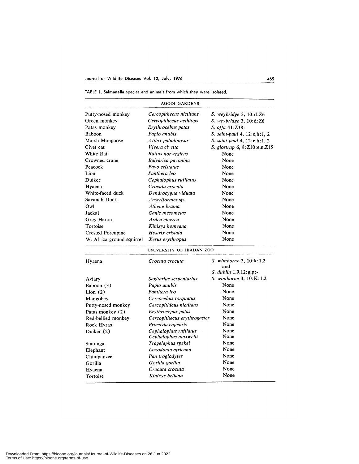TABLE 1. Salmonella species and animals from which they were isolated.

| <b>AGODI GARDENS</b>      |                             |                                  |  |  |  |  |  |
|---------------------------|-----------------------------|----------------------------------|--|--|--|--|--|
| Putty-nosed monkey        | Cercopithecus nictitans     | $S.$ weybridge 3, 10:d: $Z6$     |  |  |  |  |  |
| Green monkey              | Cercopithecus aethiops      | $S.$ weybridge 3, 10:d: $Z6$     |  |  |  |  |  |
| Patas monkey              | Erythrocebus patas          | S. offa $41:Z38$ :-              |  |  |  |  |  |
| Baboon                    | Papio anubis                | S. saint-paul 4, 12:e,h:1, 2     |  |  |  |  |  |
| Marsh Mongoose            | Atilax paludinosus          | S. saint-paul 4, 12:e,h:1, 2     |  |  |  |  |  |
| Civet cat                 | Vivera civetta              | S. glostrup 6, 8:Z10:e,n,Z15     |  |  |  |  |  |
| White Rat                 | Rattus norwegicus           | None                             |  |  |  |  |  |
| Crowned crane             | Balearica pavonina          | None                             |  |  |  |  |  |
| Peacock                   | Pavo cristatus              | None                             |  |  |  |  |  |
| Lion                      | Panthera leo                | None                             |  |  |  |  |  |
| Duiker                    | Cephalophus rufilatus       | None                             |  |  |  |  |  |
| Hyaena                    | Crocuta crocuta             | None                             |  |  |  |  |  |
| White-faced duck          | Dendrocygna viduata         | None                             |  |  |  |  |  |
| Savanah Duck              | Anseriformes sp.            | None                             |  |  |  |  |  |
| Owl                       | Athene brama                | None                             |  |  |  |  |  |
| Jackal                    | Canis mesomelas             | None                             |  |  |  |  |  |
| Grey Heron                | Ardea cinerea               | None                             |  |  |  |  |  |
| Tortoise                  | Kinixys homeana             | None                             |  |  |  |  |  |
| <b>Crested Porcupine</b>  | Hystrix cristata            | None                             |  |  |  |  |  |
| W. Africa ground squirrel | Xerus erythropus            | None                             |  |  |  |  |  |
|                           | UNIVERSITY OF IBADAN ZOO    |                                  |  |  |  |  |  |
| Hyaena                    | Crocuta crocuta             | S. wimborne 3, 10:k:1,2<br>and   |  |  |  |  |  |
|                           |                             | <i>S. dublin</i> $1,9,12:g,p$ :- |  |  |  |  |  |
| Aviary                    | Sagitarius serpentarius     | S. wimborne 3, 10:K:1,2          |  |  |  |  |  |
| Baboon (3)                | Papio anubis                | None                             |  |  |  |  |  |
| Lion $(2)$                | Panthera leo                | None                             |  |  |  |  |  |
| Mangobey                  | Cercocebus torquatus        | None                             |  |  |  |  |  |
| Putty-nosed monkey        | Cercopithicus nictitans     | None                             |  |  |  |  |  |
| Patas monkey (2)          | Erythrocepus patas          | None                             |  |  |  |  |  |
| Red-bellied monkey        | Cercopithecus erythrogaster | None                             |  |  |  |  |  |
| Rock Hyrax                | Procavia capensis           | None                             |  |  |  |  |  |
| Duiker (2)                | Cephalophus rufilatus       | None                             |  |  |  |  |  |
|                           | Cephalophus maxwelli        | None                             |  |  |  |  |  |
| Statunga                  | Tragelaphus spekei          | None                             |  |  |  |  |  |
| Elephant                  | Loxodonta africana          | None                             |  |  |  |  |  |
| Chimpanzee                | Pan troglodytes             | None                             |  |  |  |  |  |
| Gorilla                   | Gorilla gorilla             | None                             |  |  |  |  |  |
| Hyaena                    | Crocuta crocuta             | None                             |  |  |  |  |  |
| Tortoise                  | Kinixys beliana             | None                             |  |  |  |  |  |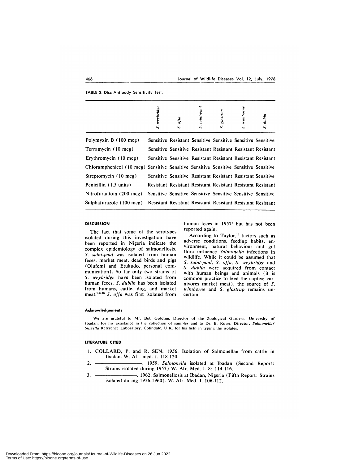TABLE 2. Disc Antibody Sensitivity Test,

|                                                                                      | weybridge<br>S, | otta<br>S.                                                  | saint-paul<br>S, | S. glostrup | wimborne<br>s, | S. dubin |
|--------------------------------------------------------------------------------------|-----------------|-------------------------------------------------------------|------------------|-------------|----------------|----------|
| Polymyxin B (100 mcg)                                                                |                 | Sensitive Resistant Sensitive Sensitive Sensitive Sensitive |                  |             |                |          |
| Terramycin (10 mcg)                                                                  |                 | Sensitive Sensitive Resistant Resistant Resistant Resistant |                  |             |                |          |
| Erythromycin (10 mcg)                                                                |                 | Sensitive Sensitive Resistant Resistant Resistant Resistant |                  |             |                |          |
| Chloramphenicol (10 mcg) Sensitive Sensitive Sensitive Sensitive Sensitive Sensitive |                 |                                                             |                  |             |                |          |
| Streptomycin (10 mcg)                                                                |                 | Sensitive Sensitive Resistant Resistant Resistant Sensitive |                  |             |                |          |
| Penicillin (1.5 units)                                                               |                 | Resistant Resistant Resistant Resistant Resistant Resistant |                  |             |                |          |
| Nitrofurantoin (200 mcg)                                                             |                 | Sensitive Sensitive Sensitive Sensitive Sensitive Sensitive |                  |             |                |          |
| Sulphafurazole (100 mcg)                                                             |                 | Resistant Resistant Resistant Resistant Resistant Resistant |                  |             |                |          |

### **DISCUSSION**

The fact that some of the serotypes isolated during this investigation have been reported in Nigeria indicate the complex epidemiology of salmonellosis. *S. saint-paul* was isolated from human feces, market meat, dead birds and pigs (Olufemi and Etukudo, personal com munication). So far only two strains of *S. weybridge* have been isolated from human feces. *S. dublin* has been isolated from humans, cattle, dog, and market meat.<sup>1,3,15</sup> S. offa was first isolated from

human feces in 1957<sup>2</sup> but has not been reported again.

According to Taylor,<sup>16</sup> factors such as adverse conditions, feeding habits, en vironment, natural behaviour and gut flora influence Salmonella infections in wildlife. While it could be assumed that *S. saint-paul, S. of/a, S. weybnidge* and *S. dublin* were acquired from contact with human beings and animals (it is common practice to feed the captive car nivores market meat), the source of *S. wimborne* and *S. glostrup* remains uncertain.

#### **Acknowledgements**

We are grateful to Mr. Bob Golding, Director of the Zoological Gardens. University of Ibadan. for his assistance in the collection of samples and to Dr. B. Rowe, Director, *Salmonella/ Shige!la* Reference Laboratory. Colindale. U.K. for his help in typing the isolates.

# **LITERATURE CITED**

- **1. COLLARD, P.** and R. SEN. 1956. Isolation of Salmonellae from cattle in Ibadan. W. Afr. med. J. 118-120.
- 2. **1959**. *Salmonella* isolated at Ibadan (Second Report: Strains isolated during 1957) W. Afr. Med. **J. 8: 114-116.**
- 3. . **1962.** Salmonellosis at Ibadan, Nigeria (Fifth Report: Strains isolated during 1956-1960). W. Afr. Med. **J. 106-112.**